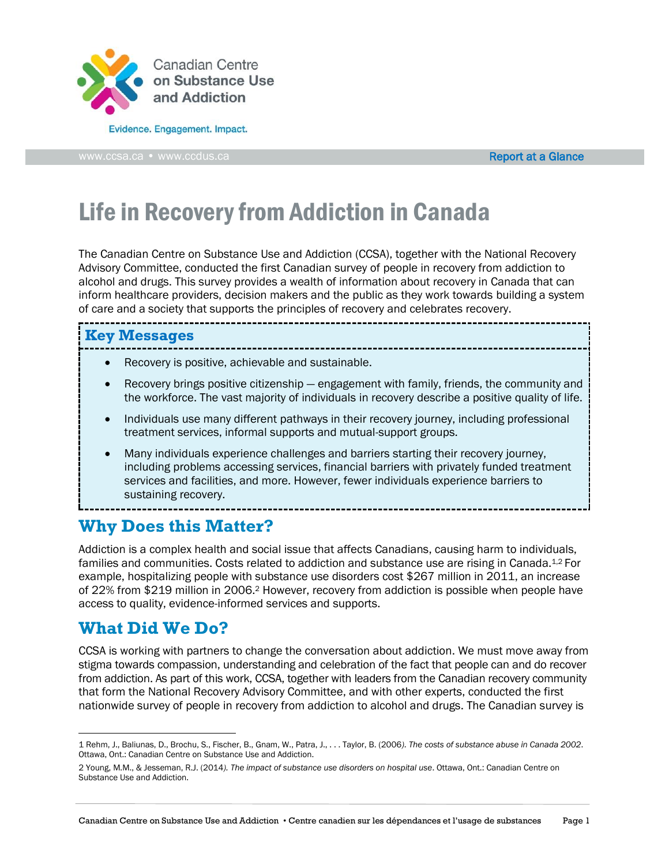

Evidence. Engagement. Impact.

[www.ccsa.ca](http://www.ccsa.ca/) • www.ccdus.ca **Report at a Glance** Report at a Glance

# Life in Recovery from Addiction in Canada

The Canadian Centre on Substance Use and Addiction (CCSA), together with the National Recovery Advisory Committee, conducted the first Canadian survey of people in recovery from addiction to alcohol and drugs. This survey provides a wealth of information about recovery in Canada that can inform healthcare providers, decision makers and the public as they work towards building a system of care and a society that supports the principles of recovery and celebrates recovery. 

#### **Key Messages**

- Recovery is positive, achievable and sustainable.
- Recovery brings positive citizenship engagement with family, friends, the community and the workforce. The vast majority of individuals in recovery describe a positive quality of life.

- Individuals use many different pathways in their recovery journey, including professional treatment services, informal supports and mutual-support groups.
- Many individuals experience challenges and barriers starting their recovery journey, including problems accessing services, financial barriers with privately funded treatment services and facilities, and more. However, fewer individuals experience barriers to sustaining recovery.

-------------

**Why Does this Matter?**

Addiction is a complex health and social issue that affects Canadians, causing harm to individuals, families and communities. Costs related to addiction and substance use are rising in Canada.<sup>1,2</sup> For example, hospitalizing people with substance use disorders cost \$267 million in 2011, an increase of 22% from \$219 million in 2006.<sup>2</sup> However, recovery from addiction is possible when people have access to quality, evidence-informed services and supports.

## **What Did We Do?**

l

CCSA is working with partners to change the conversation about addiction. We must move away from stigma towards compassion, understanding and celebration of the fact that people can and do recover from addiction. As part of this work, CCSA, together with leaders from the Canadian recovery community that form the National Recovery Advisory Committee, and with other experts, conducted the first nationwide survey of people in recovery from addiction to alcohol and drugs. The Canadian survey is

<sup>1</sup> Rehm, J., Baliunas, D., Brochu, S., Fischer, B., Gnam, W., Patra, J., . . . Taylor, B. (2006*). The costs of substance abuse in Canada 2002*. Ottawa, Ont.: Canadian Centre on Substance Use and Addiction.

<sup>2</sup> Young, M.M., & Jesseman, R.J. (2014*). The impact of substance use disorders on hospital use*. Ottawa, Ont.: Canadian Centre on Substance Use and Addiction.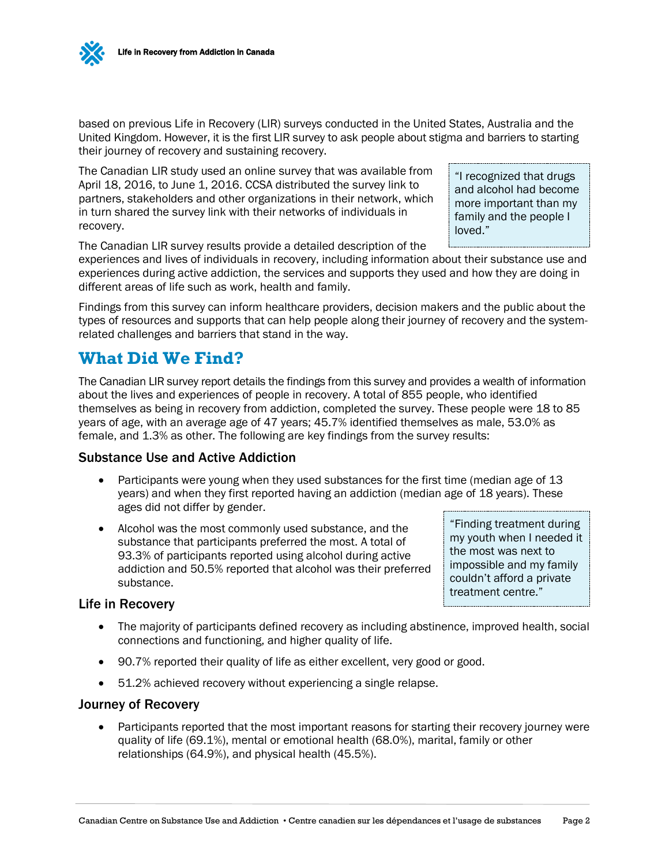based on previous Life in Recovery (LIR) surveys conducted in the United States, Australia and the United Kingdom. However, it is the first LIR survey to ask people about stigma and barriers to starting their journey of recovery and sustaining recovery.

The Canadian LIR study used an online survey that was available from April 18, 2016, to June 1, 2016. CCSA distributed the survey link to partners, stakeholders and other organizations in their network, which in turn shared the survey link with their networks of individuals in recovery.

"I recognized that drugs and alcohol had become more important than my family and the people I loved."

The Canadian LIR survey results provide a detailed description of the

experiences and lives of individuals in recovery, including information about their substance use and experiences during active addiction, the services and supports they used and how they are doing in different areas of life such as work, health and family.

Findings from this survey can inform healthcare providers, decision makers and the public about the types of resources and supports that can help people along their journey of recovery and the systemrelated challenges and barriers that stand in the way.

# **What Did We Find?**

The Canadian LIR survey report details the findings from this survey and provides a wealth of information about the lives and experiences of people in recovery. A total of 855 people, who identified themselves as being in recovery from addiction, completed the survey. These people were 18 to 85 years of age, with an average age of 47 years; 45.7% identified themselves as male, 53.0% as female, and 1.3% as other. The following are key findings from the survey results:

#### Substance Use and Active Addiction

- Participants were young when they used substances for the first time (median age of 13 years) and when they first reported having an addiction (median age of 18 years). These ages did not differ by gender.
- Alcohol was the most commonly used substance, and the substance that participants preferred the most. A total of 93.3% of participants reported using alcohol during active addiction and 50.5% reported that alcohol was their preferred substance.

"Finding treatment during my youth when I needed it the most was next to impossible and my family couldn't afford a private treatment centre."

#### Life in Recovery

- The majority of participants defined recovery as including abstinence, improved health, social connections and functioning, and higher quality of life.
- 90.7% reported their quality of life as either excellent, very good or good.
- 51.2% achieved recovery without experiencing a single relapse.

#### Journey of Recovery

• Participants reported that the most important reasons for starting their recovery journey were quality of life (69.1%), mental or emotional health (68.0%), marital, family or other relationships (64.9%), and physical health (45.5%).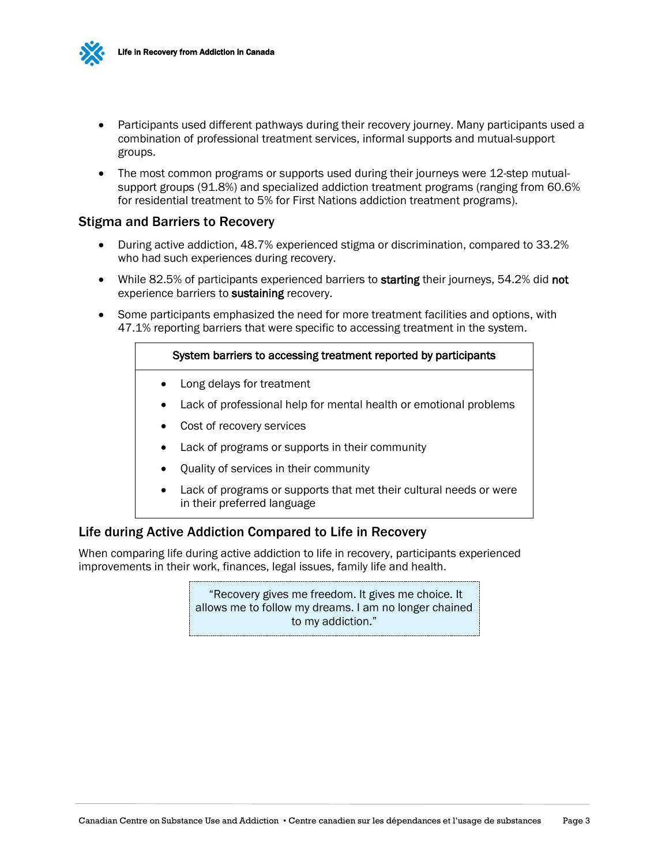

- Participants used different pathways during their recovery journey. Many participants used a combination of professional treatment services, informal supports and mutual-support groups.
- The most common programs or supports used during their journeys were 12-step mutualsupport groups (91.8%) and specialized addiction treatment programs (ranging from 60.6% for residential treatment to 5% for First Nations addiction treatment programs).

#### Stigma and Barriers to Recovery

- During active addiction, 48.7% experienced stigma or discrimination, compared to 33.2% who had such experiences during recovery.
- While 82.5% of participants experienced barriers to starting their journeys, 54.2% did not experience barriers to sustaining recovery.
- Some participants emphasized the need for more treatment facilities and options, with 47.1% reporting barriers that were specific to accessing treatment in the system.

#### System barriers to accessing treatment reported by participants

- Long delays for treatment
- Lack of professional help for mental health or emotional problems
- Cost of recovery services
- Lack of programs or supports in their community
- Quality of services in their community
- Lack of programs or supports that met their cultural needs or were in their preferred language

#### Life during Active Addiction Compared to Life in Recovery

When comparing life during active addiction to life in recovery, participants experienced improvements in their work, finances, legal issues, family life and health.

> "Recovery gives me freedom. It gives me choice. It allows me to follow my dreams. I am no longer chained to my addiction."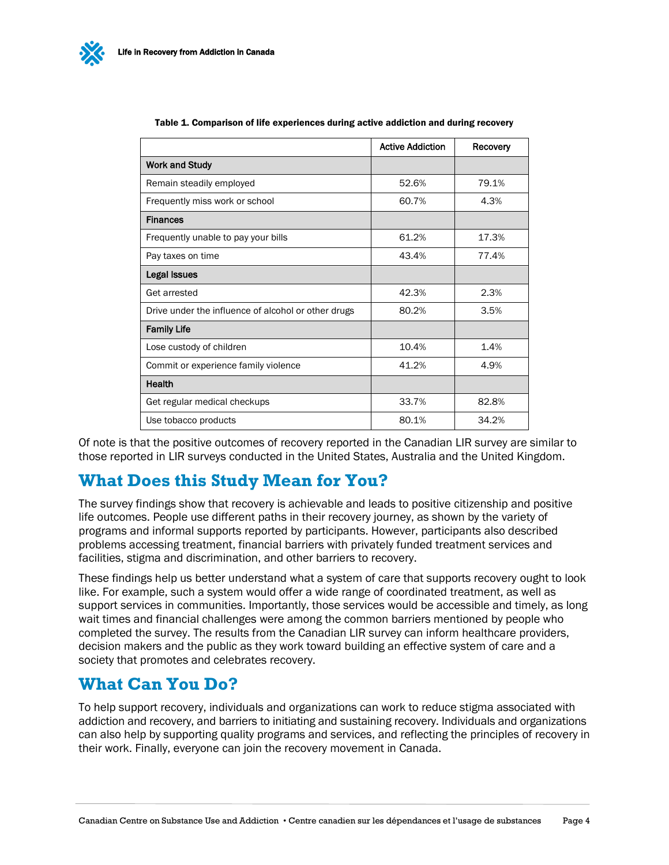|                                                     | <b>Active Addiction</b> | Recovery |
|-----------------------------------------------------|-------------------------|----------|
| <b>Work and Study</b>                               |                         |          |
| Remain steadily employed                            | 52.6%                   | 79.1%    |
| Frequently miss work or school                      | 60.7%                   | 4.3%     |
| <b>Finances</b>                                     |                         |          |
| Frequently unable to pay your bills                 | 61.2%                   | 17.3%    |
| Pay taxes on time                                   | 43.4%                   | 77.4%    |
| Legal Issues                                        |                         |          |
| Get arrested                                        | 42.3%                   | 2.3%     |
| Drive under the influence of alcohol or other drugs | 80.2%                   | 3.5%     |
| <b>Family Life</b>                                  |                         |          |
| Lose custody of children                            | 10.4%                   | 1.4%     |
| Commit or experience family violence                | 41.2%                   | 4.9%     |
| Health                                              |                         |          |
| Get regular medical checkups                        | 33.7%                   | 82.8%    |
| Use tobacco products                                | 80.1%                   | 34.2%    |

Table 1. Comparison of life experiences during active addiction and during recovery

Of note is that the positive outcomes of recovery reported in the Canadian LIR survey are similar to those reported in LIR surveys conducted in the United States, Australia and the United Kingdom.

## **What Does this Study Mean for You?**

The survey findings show that recovery is achievable and leads to positive citizenship and positive life outcomes. People use different paths in their recovery journey, as shown by the variety of programs and informal supports reported by participants. However, participants also described problems accessing treatment, financial barriers with privately funded treatment services and facilities, stigma and discrimination, and other barriers to recovery.

These findings help us better understand what a system of care that supports recovery ought to look like. For example, such a system would offer a wide range of coordinated treatment, as well as support services in communities. Importantly, those services would be accessible and timely, as long wait times and financial challenges were among the common barriers mentioned by people who completed the survey. The results from the Canadian LIR survey can inform healthcare providers, decision makers and the public as they work toward building an effective system of care and a society that promotes and celebrates recovery.

## **What Can You Do?**

To help support recovery, individuals and organizations can work to reduce stigma associated with addiction and recovery, and barriers to initiating and sustaining recovery. Individuals and organizations can also help by supporting quality programs and services, and reflecting the principles of recovery in their work. Finally, everyone can join the recovery movement in Canada.